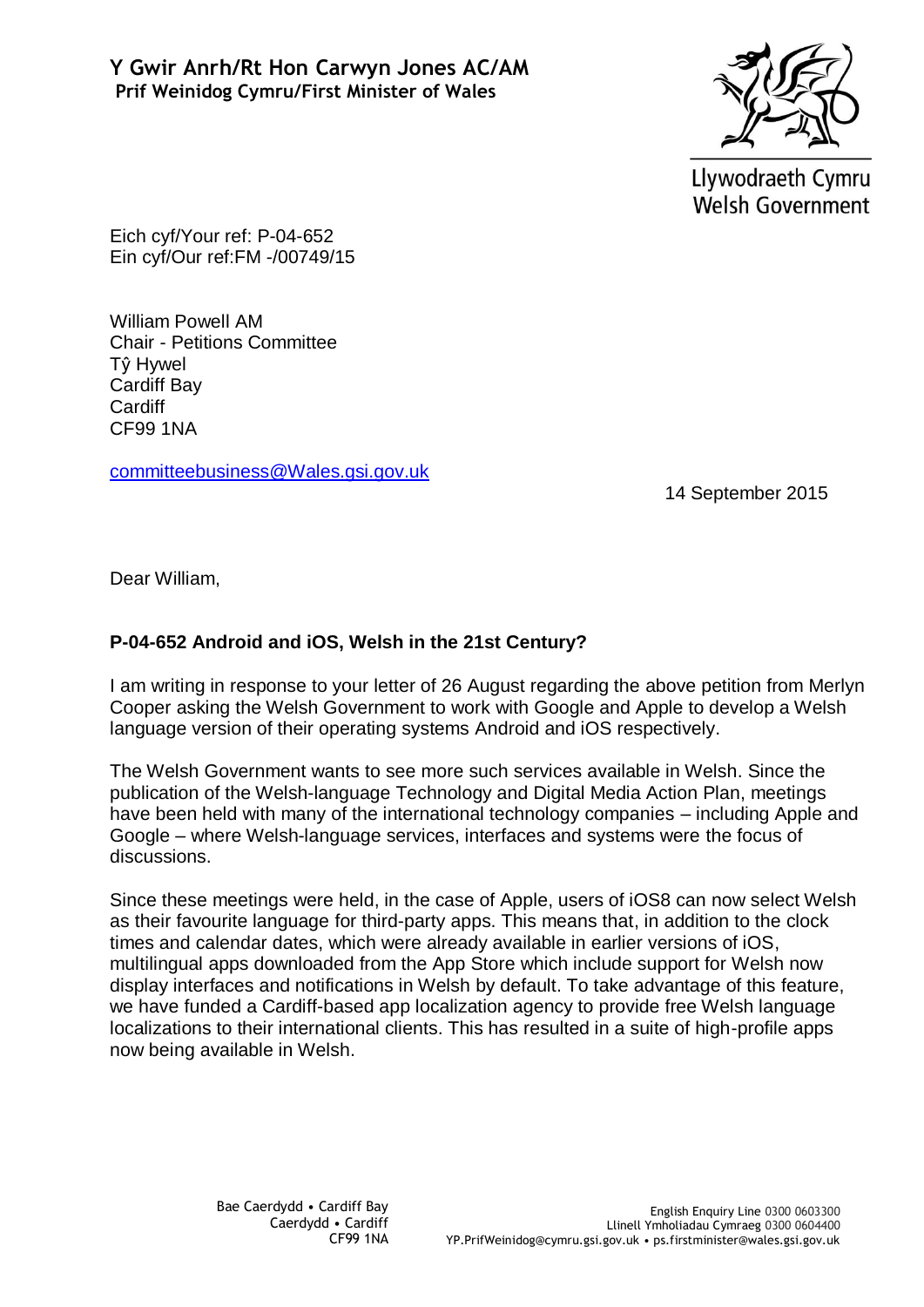

Llywodraeth Cymru **Welsh Government** 

Eich cyf/Your ref: P-04-652 Ein cyf/Our ref:FM -/00749/15

William Powell AM Chair - Petitions Committee Tŷ Hywel Cardiff Bay **Cardiff** CF99 1NA

[committeebusiness@Wales.gsi.gov.uk](mailto:committeebusiness@Wales.gsi.gov.uk)

14 September 2015

Dear William,

## **P-04-652 Android and iOS, Welsh in the 21st Century?**

I am writing in response to your letter of 26 August regarding the above petition from Merlyn Cooper asking the Welsh Government to work with Google and Apple to develop a Welsh language version of their operating systems Android and iOS respectively.

The Welsh Government wants to see more such services available in Welsh. Since the publication of the Welsh-language Technology and Digital Media Action Plan, meetings have been held with many of the international technology companies – including Apple and Google – where Welsh-language services, interfaces and systems were the focus of discussions.

Since these meetings were held, in the case of Apple, users of iOS8 can now select Welsh as their favourite language for third-party apps. This means that, in addition to the clock times and calendar dates, which were already available in earlier versions of iOS, multilingual apps downloaded from the App Store which include support for Welsh now display interfaces and notifications in Welsh by default. To take advantage of this feature, we have funded a Cardiff-based app localization agency to provide free Welsh language localizations to their international clients. This has resulted in a suite of high-profile apps now being available in Welsh.